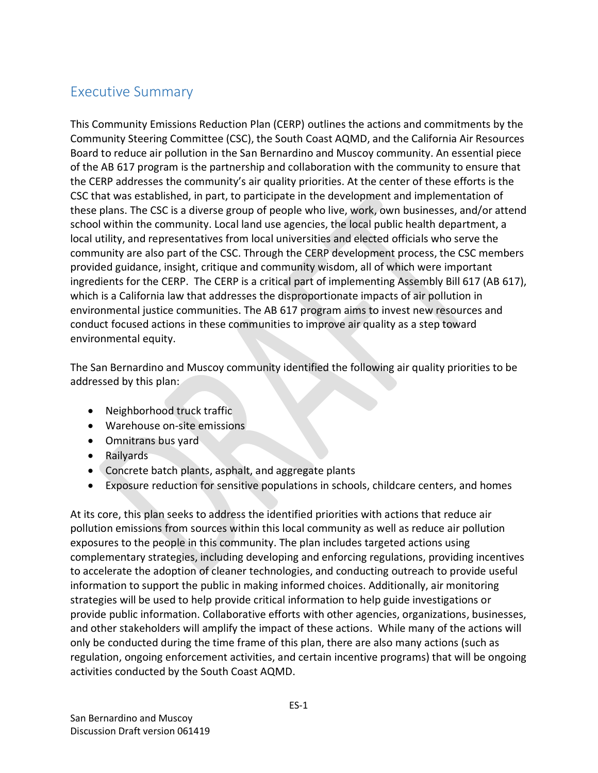## Executive Summary

This Community Emissions Reduction Plan (CERP) outlines the actions and commitments by the Community Steering Committee (CSC), the South Coast AQMD, and the California Air Resources Board to reduce air pollution in the San Bernardino and Muscoy community. An essential piece of the AB 617 program is the partnership and collaboration with the community to ensure that the CERP addresses the community's air quality priorities. At the center of these efforts is the CSC that was established, in part, to participate in the development and implementation of these plans. The CSC is a diverse group of people who live, work, own businesses, and/or attend school within the community. Local land use agencies, the local public health department, a local utility, and representatives from local universities and elected officials who serve the community are also part of the CSC. Through the CERP development process, the CSC members provided guidance, insight, critique and community wisdom, all of which were important ingredients for the CERP. The CERP is a critical part of implementing Assembly Bill 617 (AB 617), which is a California law that addresses the disproportionate impacts of air pollution in environmental justice communities. The AB 617 program aims to invest new resources and conduct focused actions in these communities to improve air quality as a step toward environmental equity.

The San Bernardino and Muscoy community identified the following air quality priorities to be addressed by this plan:

- Neighborhood truck traffic
- Warehouse on-site emissions
- Omnitrans bus yard
- Railyards
- Concrete batch plants, asphalt, and aggregate plants
- Exposure reduction for sensitive populations in schools, childcare centers, and homes

At its core, this plan seeks to address the identified priorities with actions that reduce air pollution emissions from sources within this local community as well as reduce air pollution exposures to the people in this community. The plan includes targeted actions using complementary strategies, including developing and enforcing regulations, providing incentives to accelerate the adoption of cleaner technologies, and conducting outreach to provide useful information to support the public in making informed choices. Additionally, air monitoring strategies will be used to help provide critical information to help guide investigations or provide public information. Collaborative efforts with other agencies, organizations, businesses, and other stakeholders will amplify the impact of these actions. While many of the actions will only be conducted during the time frame of this plan, there are also many actions (such as regulation, ongoing enforcement activities, and certain incentive programs) that will be ongoing activities conducted by the South Coast AQMD.